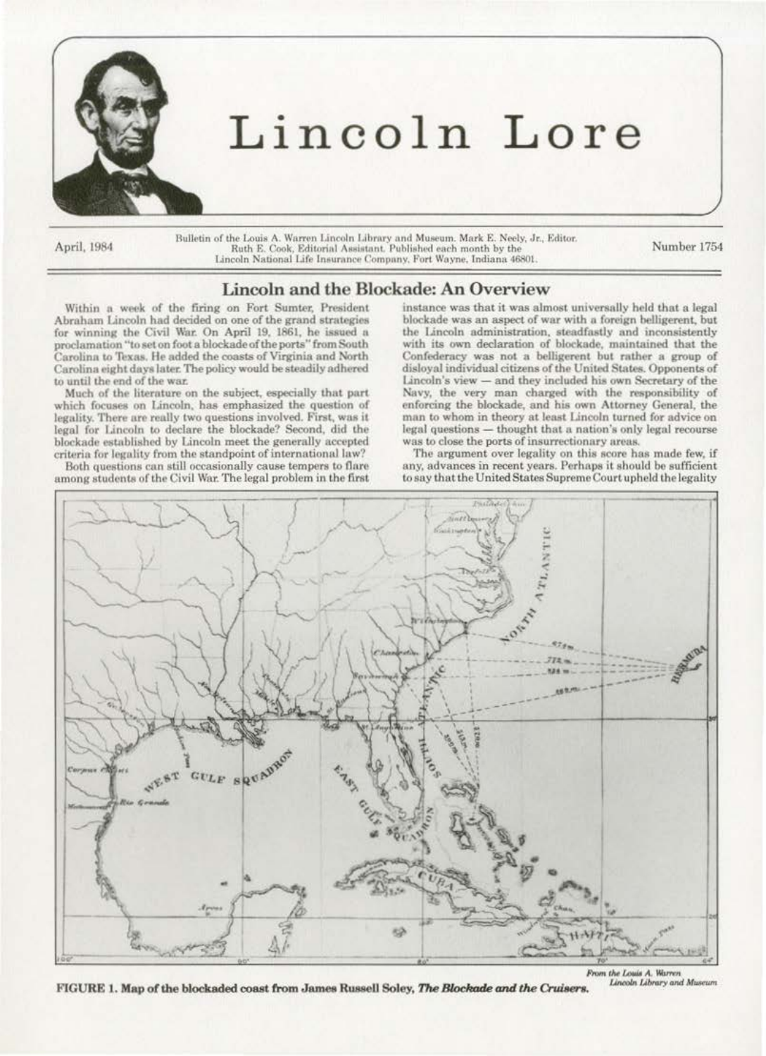

April, 1984

Bulletin of the Louis A. Warren Lincoln Library and Museum. Mark E. Neely, Jr., Editor. Ruth E. Cook, Editorial Assistant. Published each month by the Lincoln National Life Insurance Company, Fort Wayne, Indiana 46801.

Number 1754

## Lincoln and the Blockade: An Overview

Within a week of the firing on Fort Sumter, President Abraham Lincoln had decided on one of the grand strategies for winning the Civil War. On April 19, 1861, he issued a proclamation "to set on foot a blockade of the ports" from South Carolina to Texas. He added the coasts of Virginia and North Carolina eight days later. The policy would be steadily adhered to until the end of the war.

Much of the literature on the subject, especially that part which focuses on Lincoln, has emphasized the question of legality. There are really two questions involved. First, was it legal for Lincoln to declare the blockade? Second, did the blockade established by Lincoln meet the generally accepted criteria for legality from the standpoint of international law?

Both questions can still occasionally cause tempers to flare among students of the Civil War. The legal problem in the first instance was that it was almost universally held that a legal blockade was an aspect of war with a foreign belligerent, but the Lincoln administration, steadfastly and inconsistently<br>with its own declaration of blockade, maintained that the Confederacy was not a belligerent but rather a group of disloyal individual citizens of the United States. Opponents of Lincoln's view  $-$  and they included his own Secretary of the Navy, the very man charged with the responsibility of enforcing the blockade, and his own Attorney General, the man to whom in theory at least Lincoln turned for advice on legal questions - thought that a nation's only legal recourse was to close the ports of insurrectionary areas.

The argument over legality on this score has made few, if any, advances in recent years. Perhaps it should be sufficient to say that the United States Supreme Court upheld the legality



From the Louis A. Warren Lincoln Library and Museum

FIGURE 1. Map of the blockaded coast from James Russell Soley, The Blockade and the Cruisers.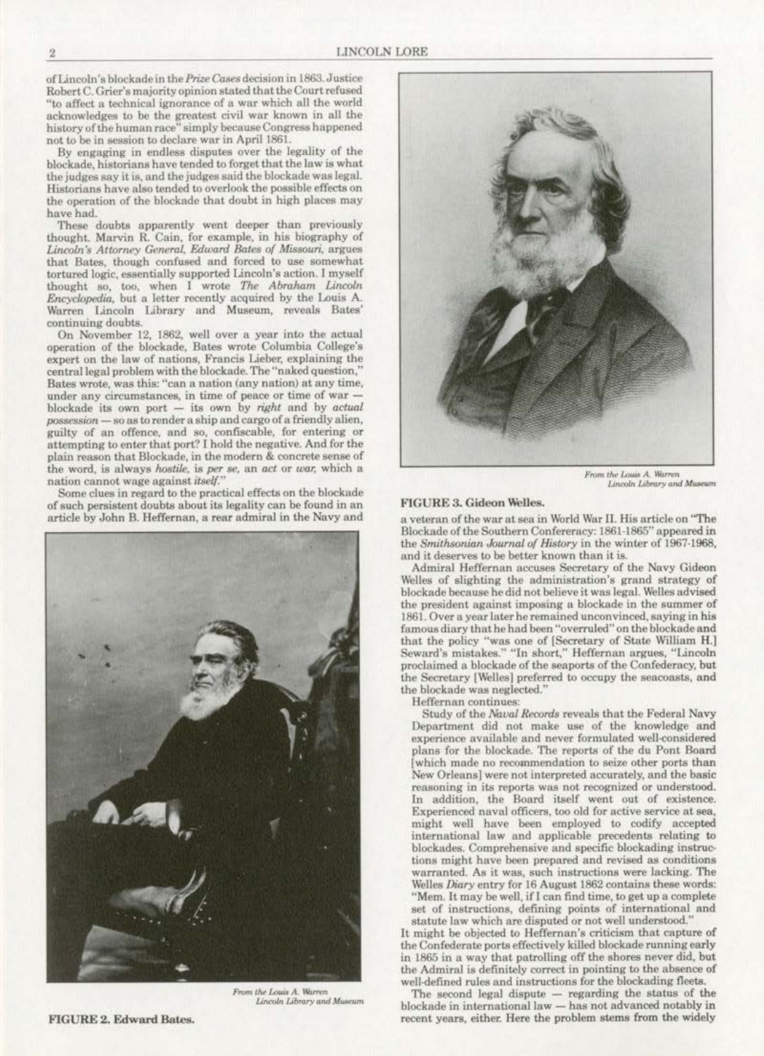of Lincoln's blockade in the *Prize CasesdcciBion* in 1863. Justice Robert C. Grier's majority opinion stated that the Court refused **"to affect a technical ignorance of a war which all the world**  acknowledges to be the greatest civil war known in all the **history of the human race" simply because Congress happened**  not to be in session to declare war in April 1861.

By engaging in endless disputes over the legality of the blockade, historians have tended to forget that the law is what the judges say it is, and the judges said the blockade was legal.<br>Historians have also tended to overlook the possible effects on the operation of the blockade that doubt in high places may have had.

These doubts apparently went deeper than previously thought. Marvin R. Cain, for example, in his biography of Lincoln's Attorney General, Edward Bates of Missouri, argues that Bates, though confused and forced to use somewhat tortured logic, essentially supported Lincoln's action. I myself thought so, too, when I wrote *The Abraham Lincoln* Encyclopedia, but a letter recently acquired by the Louis A. Warren Lincoln Library and Museum, reveals Bates' **continuing doubts.** 

**On November l2, 1862, well over a year into the actual**  operation of the blockade, Bates wrote Columbia College's expert on the law of nations, Francis Lieber, explaining the central legal problem with the blockade. The "naked question," Bates wrote, was this: "can a nation (any nation) at any time, **under any circumstances, in time of peace or time of war**  blockade its own port - its own by *right* and by *actual possession-***so as to render a ship and cargo of a fricndJy alien, guilty of an offence. and so, confiscable, for entering or** attempting to enter that port'/ I hold the negative. And for the **plain reason that Blockade, in the modern & concrete sense of the word. is always** *hostile.* **is** *per se,* **an** *act* **or** *war.* **which a nation cannot wage against** *iuel{.''* 

*Some* clues in regard to the practical effects on the blockade **of s uch persistent doubts about its legality can be found in an article by John B. Heffernan, a rear admiral in the Navy and** 



 $Lincoh$  *Library* and *Museum* 



**F-rom** *1M /,(HU\$* **A. Hiume**  *Unt!oln* **{)blorytuld M'u.Mint** 

## FIGURE 3. Gideon Welles.

a veteran of the war at sea in World War II. His article on "The Blockade of the Southern Confereracy: 1861-1865" appeared in the *Smithsonian Journal of History* in the winter of 1967-1968, and it deserves to be better known than it is.

Admiral Heffernan accuses Secretary of the Navy Gideon Welles of slighting the administration's grand strategy of blockade because he did not believe it was legal. Welles advised **the president against imposing a blockade in the summer of l861. Over a year later he remained unoonvinccd. saying in his**  famous diary that he had been "overruled" on the blockade and that the policy "was one of (Secretary of State William H.] **Seward's mistakes." "In short," Heffernan argues, •"Lincoln**  proclaimed a blockade of the seaports of the Confederacy, but the Secretary [Welles] preferred to occupy the seacoasts, and the blockade was neglected."

**Hefrernan continues:** 

Study or the *Naua/ Records* reveals that the Federal Navy Department did not make use of the knowledge and experience available and never formulated well-considered plans for the blockade. The reports of the du Pont Board **[which made no recommendation to seize other ports than**  New Orleans] were not interpreted accurately, and the basic reasoning in its reports was not recognized or understood. **ln addition, the Board itself went out of existence. Experienced navaJ officers. too old for active service at sea,**  might well have been employed to codify accepted **international law and applicable precedents relating to**  blockades. Comprehensive and specific blockading instruc**tiona might. have boon prepared and revised as conditions warranted. As it was, such instructions were lacking. The**  Welles *Diary* entry for 16 August 1862 contains these words: "Mem. It may be well, if I can find time, to get up a complete **set of instructions, defining points of international and statute law which arc disputed or not weU understood."** 

It might be objected to Heffernan's criticism that capture of the Confederate ports effeetively killed blockade running early in 1865 in a way that patrolling off the shores never did, but the Admiral is definitely correct in pointing to the absence of well-defined rules and instructions for the blockading fleets.

The second legal dispute - regarding the status of the blockade in international law - has not advanced notably in **recent years, either. Here the problem stems from the widely** 

FIGURE 2. Edward Bates.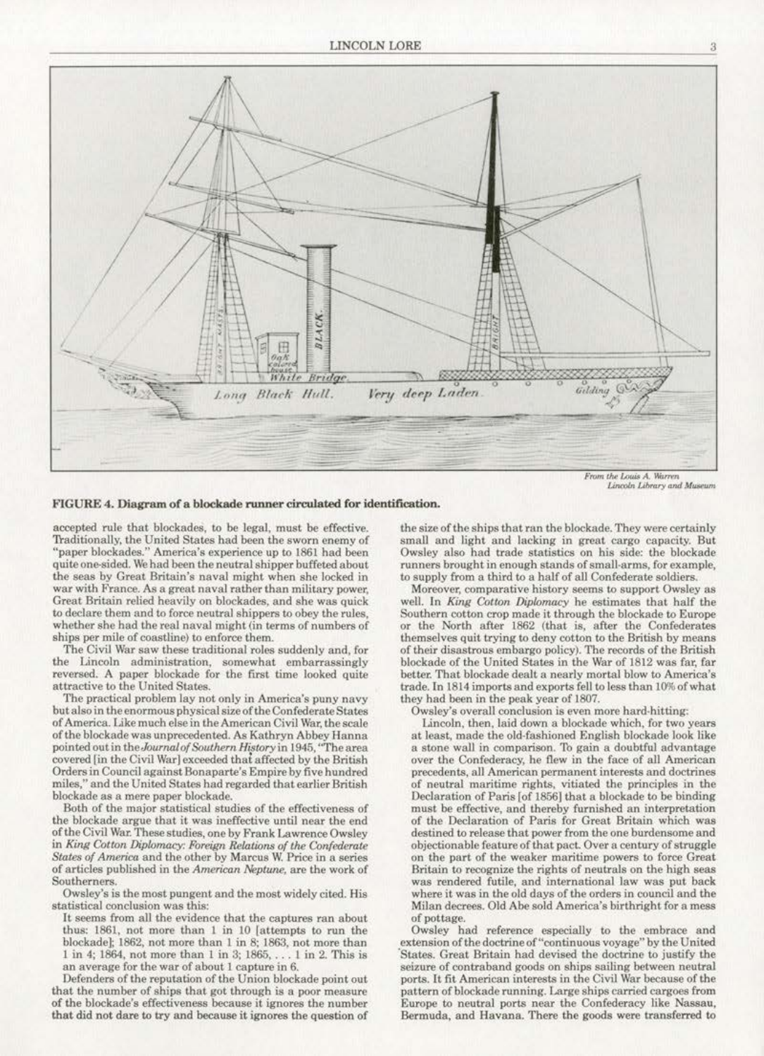

Lincoln Library and Museum

FIGURE 4. Diagram of a blockade runner circulated for identification.

accepted rule that blockades, to be legal, must be effective. Traditionally, the United States had been the sworn enemy of "paper blockades." America's experience up to 1861 had been quite one-sided. We had been the neutral shipper buffeted about the seas by Great Britain's naval might when she locked in war with France. As a great naval rather than military power, Great Britain relied heavily on blockades, and she was quick to declare them and to force neutral shippers to obey the rules. whether she had the real naval might (in terms of numbers of ships per mile of coastline) to enforce them.

The Civil War saw these traditional roles suddenly and, for the Lincoln administration, somewhat embarrassingly<br>reversed. A paper blockade for the first time looked quite attractive to the United States.

The practical problem lay not only in America's puny navy but also in the enormous physical size of the Confederate States of America. Like much else in the American Civil War, the scale of the blockade was unprecedented. As Kathryn Abbey Hanna pointed out in the Journal of Southern History in 1945, "The area covered [in the Civil War] exceeded that affected by the British Orders in Council against Bonaparte's Empire by five hundred miles," and the United States had regarded that earlier British blockade as a mere paper blockade.

Both of the major statistical studies of the effectiveness of the blockade argue that it was ineffective until near the end of the Civil War. These studies, one by Frank Lawrence Owsley in King Cotton Diplomacy: Foreign Relations of the Confederate States of America and the other by Marcus W. Price in a series of articles published in the American Neptune, are the work of Southerners.

Owsley's is the most pungent and the most widely cited. His statistical conclusion was this:

It seems from all the evidence that the captures ran about thus: 1861, not more than 1 in 10 [attempts to run the blockade]; 1862, not more than 1 in 8; 1863, not more than 1 in 4; 1864, not more than 1 in 3; 1865, . . . 1 in 2. This is an average for the war of about 1 capture in 6.

Defenders of the reputation of the Union blockade point out that the number of ships that got through is a poor measure of the blockade's effectiveness because it ignores the number that did not dare to try and because it ignores the question of

the size of the ships that ran the blockade. They were certainly small and light and lacking in great cargo capacity. But Owsley also had trade statistics on his side: the blockade runners brought in enough stands of small-arms, for example, to supply from a third to a half of all Confederate soldiers.

Moreover, comparative history seems to support Owsley as well. In King Cotton Diplomacy he estimates that half the Southern cotton crop made it through the blockade to Europe or the North after 1862 (that is, after the Confederates themselves quit trying to deny cotton to the British by means of their disastrous embargo policy). The records of the British blockade of the United States in the War of 1812 was far, far better. That blockade dealt a nearly mortal blow to America's trade. In 1814 imports and exports fell to less than 10% of what they had been in the peak year of 1807.

Owsley's overall conclusion is even more hard-hitting:

Lincoln, then, laid down a blockade which, for two years at least, made the old-fashioned English blockade look like a stone wall in comparison. To gain a doubtful advantage over the Confederacy, he flew in the face of all American precedents, all American permanent interests and doctrines of neutral maritime rights, vitiated the principles in the Declaration of Paris [of 1856] that a blockade to be binding must be effective, and thereby furnished an interpretation of the Declaration of Paris for Great Britain which was destined to release that power from the one burdensome and objectionable feature of that pact. Over a century of struggle on the part of the weaker maritime powers to force Great Britain to recognize the rights of neutrals on the high seas was rendered futile, and international law was put back where it was in the old days of the orders in council and the Milan decrees. Old Abe sold America's birthright for a mess of pottage.

Owsley had reference especially to the embrace and<br>extension of the doctrine of "continuous voyage" by the United States. Great Britain had devised the doctrine to justify the seizure of contraband goods on ships sailing between neutral ports. It fit American interests in the Civil War because of the pattern of blockade running. Large ships carried cargoes from Europe to neutral ports near the Confederacy like Nassau, Bermuda, and Havana. There the goods were transferred to

 $\overline{a}$